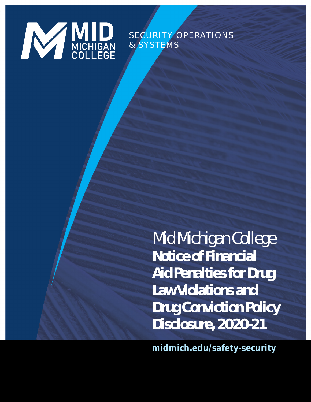**midmich.edu/safety-security**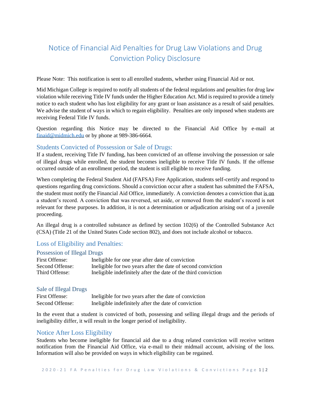# Notice of Financial Aid Penalties for Drug Law Violations and Drug Conviction Policy Disclosure

Please Note: This notification is sent to all enrolled students, whether using Financial Aid or not.

Mid Michigan College is required to notify all students of the federal regulations and penalties for drug law violation while receiving Title IV funds under the Higher Education Act. Mid is required to provide a timely notice to each student who has lost eligibility for any grant or loan assistance as a result of said penalties. We advise the student of ways in which to regain eligibility. Penalties are only imposed when students are receiving Federal Title IV funds.

Question regarding this Notice may be directed to the Financial Aid Office by e-mail at [finaid@midmich.edu](mailto:finaid@midmich.edu) or by phone at 989-386-6664.

# Students Convicted of Possession or Sale of Drugs:

If a student, receiving Title IV funding, has been convicted of an offense involving the possession or sale of illegal drugs while enrolled, the student becomes ineligible to receive Title IV funds. If the offense occurred outside of an enrollment period, the student is still eligible to receive funding.

When completing the Federal Student Aid (FAFSA) Free Application, students self-certify and respond to questions regarding drug convictions. Should a conviction occur after a student has submitted the FAFSA, the student must notify the Financial Aid Office, immediately. A conviction denotes a conviction that is on a student's record. A conviction that was reversed, set aside, or removed from the student's record is not relevant for these purposes. In addition, it is not a determination or adjudication arising out of a juvenile proceeding.

An illegal drug is a controlled substance as defined by section 102(6) of the Controlled Substance Act (CSA) (Title 21 of the United States Code section 802), and does not include alcohol or tobacco.

# Loss of Eligibility and Penalties:

#### Possession of Illegal Drugs

| First Offense:  | Ineligible for one year after date of conviction               |
|-----------------|----------------------------------------------------------------|
| Second Offense: | Ineligible for two years after the date of second conviction   |
| Third Offense:  | Ineligible indefinitely after the date of the third conviction |

#### Sale of Illegal Drugs

| First Offense:  | Ineligible for two years after the date of conviction |
|-----------------|-------------------------------------------------------|
| Second Offense: | Ineligible indefinitely after the date of conviction  |

In the event that a student is convicted of both, possessing and selling illegal drugs and the periods of ineligibility differ, it will result in the longer period of ineligibility.

# Notice After Loss Eligibility

Students who become ineligible for financial aid due to a drug related conviction will receive written notification from the Financial Aid Office, via e-mail to their midmail account, advising of the loss. Information will also be provided on ways in which eligibility can be regained.